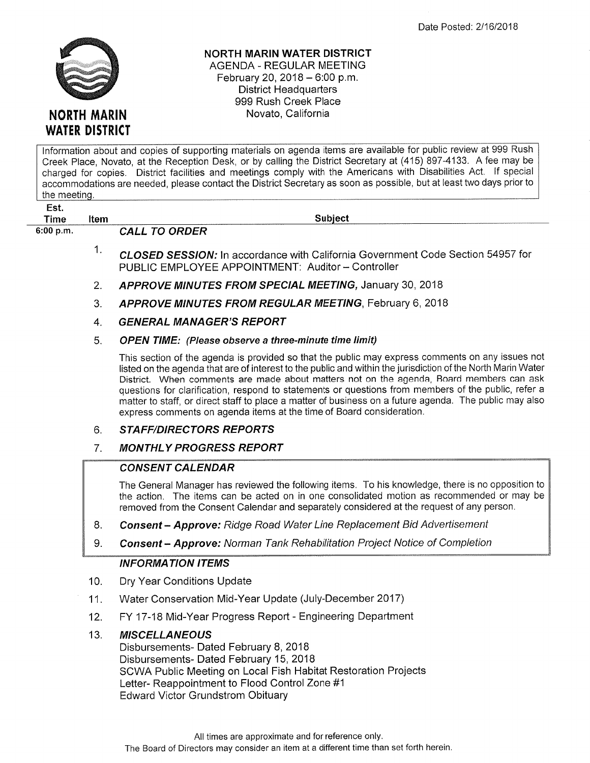

### NORTH MARIN WATER DISTRICT AGENDA - REGULAR MEETING

February 20, 2018  $-6:00$  p.m. District Headquarters 999 Rush Creek Place Novato, California

lnformation about and copies of supporting materials on agenda items are available for public review at 999 Rush Creek Place, Novato, at the Reception Desk, or by calling the District Secretary at (415) 897-4133. A fee may be charged for copies. District facilities and meetings comply with the Americans with Disabilities Act. lf special accommodations are needed, please contact the District Secretary as soon as possible, but at least two days prior to the meeting.

Est,

6:00 p.m. CALL TO ORDER

Time Item Subject

- CLOSED SESS/ON; ln accordance with California Government Code Section 54957 for PUBLIC EMPLOYEE APPOINTMENT: Auditor - Controller 1
- APPROVE MINUTES FROM SPECIAL MEETING, January 30, 2018 2
- APPROVE MINUTES FROM REGULAR MEETING, February 6, 2018 3
- **GENERAL MANAGER'S REPORT** 4

#### OPEN TIME: (Please observe a three-minute time limit) 5

This section of the agenda is provided so that the public may express comments on any issues not listed on the agenda that are of interest to the public and within the jurisdiction of the Nofth Marin Water District. When comments are made about matters not on the agenda, Board members can ask questions for clarification, respond to statements or questions from members of the public, refer a matter to staff, or direct staff to place a matter of business on a future agenda. The public may also express comments on agenda items at the time of Board consideration.

### **STAFF/DIRECTORS REPORTS** 6

**MONTHLY PROGRESS REPORT** 7

# **CONSENT CALENDAR**

The General Manager has reviewed the following items. To his knowledge, there is no opposition to the action. The items can be acted on in one consolidated motion as recommended or may be removed from the Consent Calendar and separately considered at the request of any person.

- 8. **Consent Approve:** Ridge Road Water Line Replacement Bid Advertisement
- 9. **Consent Approve:** Norman Tank Rehabilitation Project Notice of Completion

# INFORMATION ITEMS

- Dry Year Conditions Update 10.
- Water Conservation Mid-Year Update (July-December 2017) 11.
- FY 17-18 Mid-Year Progress Report Engineering Department 12.

### **MISCELLANEOUS** 13.

Disbursements- Dated February 8, 2018 Disbursements- Dated February 15, 2018 SCWA Public Meeting on Local Fish Habitat Restoration Projects Letter- Reappointment to Flood Control Zone #1 Edward Victor Grundstrom Obituary